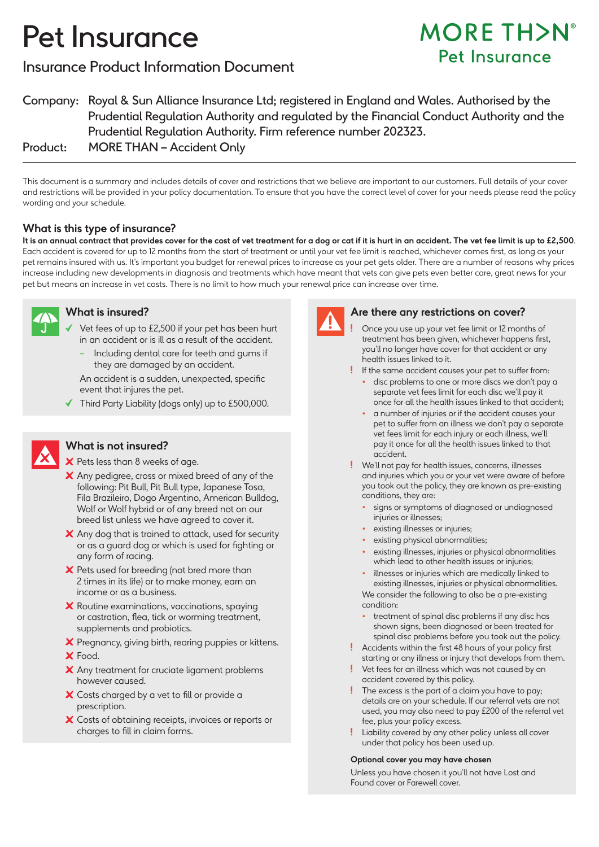# Pet Insurance

### Insurance Product Information Document

## **MORE TH>N°** Pet Insurance

Company: Royal & Sun Alliance Insurance Ltd; registered in England and Wales. Authorised by the Prudential Regulation Authority and regulated by the Financial Conduct Authority and the Prudential Regulation Authority. Firm reference number 202323. Product: MORE THAN – Accident Only

This document is a summary and includes details of cover and restrictions that we believe are important to our customers. Full details of your cover and restrictions will be provided in your policy documentation. To ensure that you have the correct level of cover for your needs please read the policy wording and your schedule.

#### **What is this type of insurance?**

**It is an annual contract that provides cover for the cost of vet treatment for a dog or cat if it is hurt in an accident. The vet fee limit is up to £2,500**. Each accident is covered for up to 12 months from the start of treatment or until your vet fee limit is reached, whichever comes first, as long as your pet remains insured with us. It's important you budget for renewal prices to increase as your pet gets older. There are a number of reasons why prices increase including new developments in diagnosis and treatments which have meant that vets can give pets even better care, great news for your pet but means an increase in vet costs. There is no limit to how much your renewal price can increase over time.



#### **What is insured?**

- Vet fees of up to £2,500 if your pet has been hurt in an accident or is ill as a result of the accident.
	- Including dental care for teeth and gums if they are damaged by an accident.

 An accident is a sudden, unexpected, specific event that injures the pet.

 $\blacktriangledown$  Third Party Liability (doas only) up to £500,000.



#### **What is not insured?**

X Pets less than 8 weeks of age.

- X Any pedigree, cross or mixed breed of any of the following: Pit Bull, Pit Bull type, Japanese Tosa, Fila Brazileiro, Dogo Argentino, American Bulldog, Wolf or Wolf hybrid or of any breed not on our breed list unless we have agreed to cover it.
- X Any dog that is trained to attack, used for security or as a guard dog or which is used for fighting or any form of racing.
- $\boldsymbol{\times}$  Pets used for breeding (not bred more than 2 times in its life) or to make money, earn an income or as a business.
- $\boldsymbol{\times}$  Routine examinations, vaccinations, spaying or castration, flea, tick or worming treatment, supplements and probiotics.
- X Pregnancy, giving birth, rearing puppies or kittens.
- X Food.
- X Any treatment for cruciate ligament problems however caused.
- X Costs charged by a vet to fill or provide a prescription.
- X Costs of obtaining receipts, invoices or reports or charges to fill in claim forms.



#### **Are there any restrictions on cover?**

Once you use up your vet fee limit or 12 months of treatment has been given, whichever happens first, you'll no longer have cover for that accident or any health issues linked to it.

If the same accident causes your pet to suffer from:

- disc problems to one or more discs we don't pay a separate vet fees limit for each disc we'll pay it once for all the health issues linked to that accident;
- a number of injuries or if the accident causes your pet to suffer from an illness we don't pay a separate vet fees limit for each injury or each illness, we'll pay it once for all the health issues linked to that accident.
- We'll not pay for health issues, concerns, illnesses and injuries which you or your vet were aware of before you took out the policy, they are known as pre-existing conditions, they are:
	- signs or symptoms of diagnosed or undiagnosed injuries or illnesses;
	- existing illnesses or injuries;
	- existing physical abnormalities;
	- existing illnesses, injuries or physical abnormalities which lead to other health issues or injuries;

• illnesses or injuries which are medically linked to existing illnesses, injuries or physical abnormalities. We consider the following to also be a pre-existing condition:

- treatment of spinal disc problems if any disc has shown signs, been diagnosed or been treated for spinal disc problems before you took out the policy.
- Accidents within the first 48 hours of your policy first starting or any illness or injury that develops from them.
- Vet fees for an illness which was not caused by an accident covered by this policy.
- The excess is the part of a claim you have to pay; details are on your schedule. If our referral vets are not used, you may also need to pay £200 of the referral vet fee, plus your policy excess.
- Liability covered by any other policy unless all cover under that policy has been used up.

#### **Optional cover you may have chosen**

Unless you have chosen it you'll not have Lost and Found cover or Farewell cover.